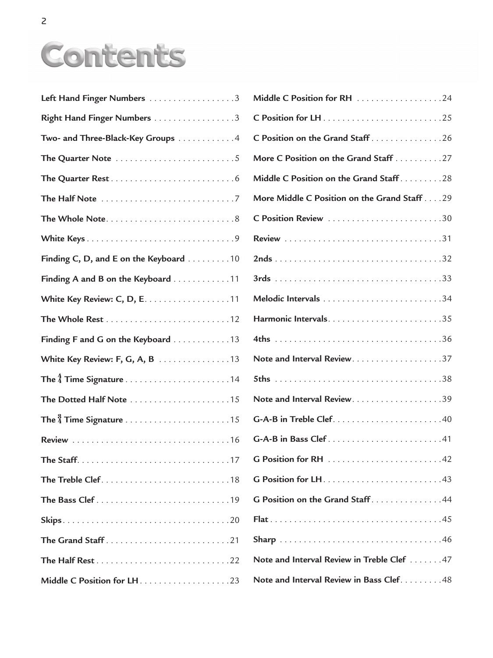## Contents

| Left Hand Finger Numbers 3             |
|----------------------------------------|
| Right Hand Finger Numbers 3            |
| Two- and Three-Black-Key Groups 4      |
|                                        |
|                                        |
|                                        |
|                                        |
|                                        |
| Finding C, D, and E on the Keyboard 10 |
| Finding A and B on the Keyboard 11     |
| White Key Review: C, D, E. 11          |
|                                        |
| Finding F and G on the Keyboard 13     |
| White Key Review: F, G, A, B 13        |
|                                        |
| The Dotted Half Note 15                |
|                                        |
|                                        |
|                                        |
|                                        |
|                                        |
|                                        |
|                                        |
|                                        |
|                                        |

| Middle C Position for RH 24                  |
|----------------------------------------------|
|                                              |
| C Position on the Grand Staff 26             |
| More C Position on the Grand Staff 27        |
| Middle C Position on the Grand Staff28       |
| More Middle C Position on the Grand Staff 29 |
|                                              |
|                                              |
|                                              |
|                                              |
|                                              |
|                                              |
|                                              |
|                                              |
|                                              |
|                                              |
|                                              |
|                                              |
|                                              |
|                                              |
| G Position on the Grand Staff44              |
|                                              |
|                                              |
| Note and Interval Review in Treble Clef 47   |
| Note and Interval Review in Bass Clef. 48    |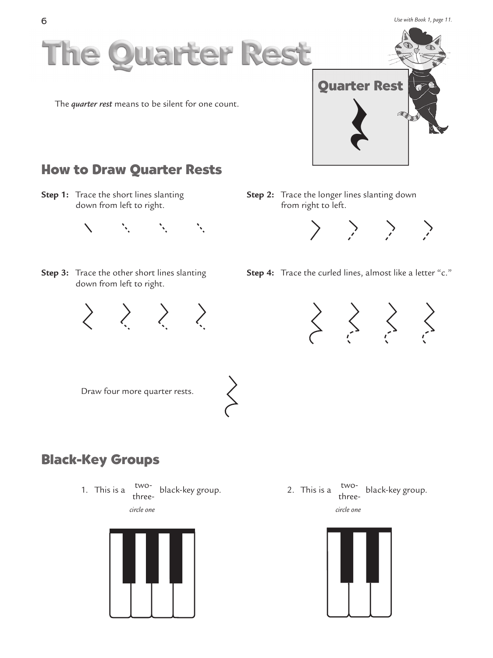*Use with Book 1, page 11.* 



**Step 1:** Trace the short lines slanting down from left to right.



**Step 3:** Trace the other short lines slanting down from left to right.

**Step 2:** Trace the longer lines slanting down from right to left.



**Step 4:** Trace the curled lines, almost like a letter "c."





Draw four more quarter rests.

## **Black-Key Groups**

1. This is a  $\mu^{\text{two-}}$  black-key group. three-





2. This is a  $\frac{two-}{1}$  black-key group. three*circle one*